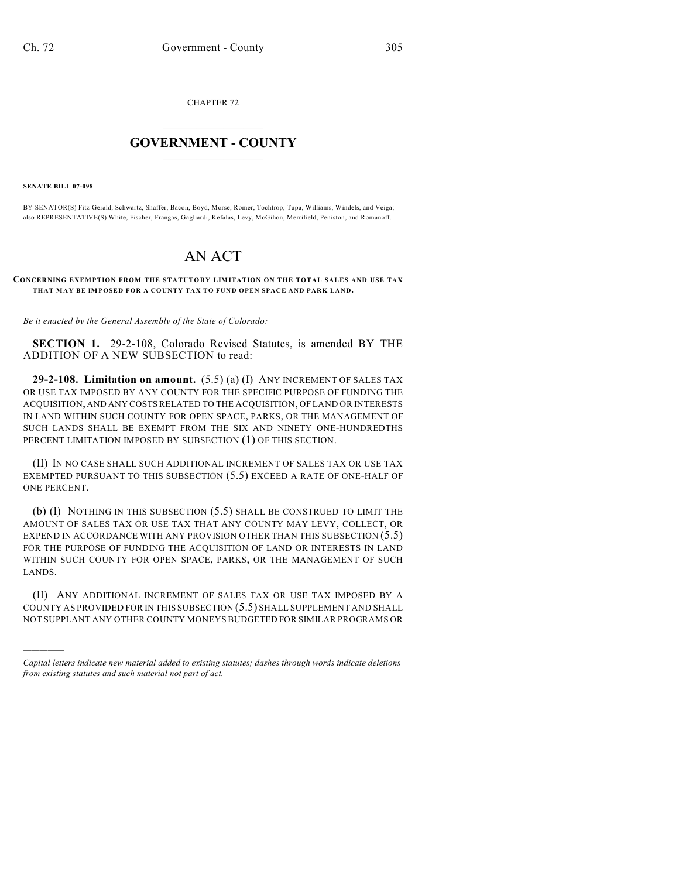CHAPTER 72

## $\overline{\phantom{a}}$  . The set of the set of the set of the set of the set of the set of the set of the set of the set of the set of the set of the set of the set of the set of the set of the set of the set of the set of the set o **GOVERNMENT - COUNTY**  $\_$

**SENATE BILL 07-098**

)))))

BY SENATOR(S) Fitz-Gerald, Schwartz, Shaffer, Bacon, Boyd, Morse, Romer, Tochtrop, Tupa, Williams, Windels, and Veiga; also REPRESENTATIVE(S) White, Fischer, Frangas, Gagliardi, Kefalas, Levy, McGihon, Merrifield, Peniston, and Romanoff.

## AN ACT

## **CONCERNING EXEMPTION FROM THE STATUTORY LIMITATION ON THE TOTAL SALES AND USE TAX THAT MAY BE IMPOSED FOR A COUNTY TAX TO FUND OPEN SPACE AND PARK LAND.**

*Be it enacted by the General Assembly of the State of Colorado:*

**SECTION 1.** 29-2-108, Colorado Revised Statutes, is amended BY THE ADDITION OF A NEW SUBSECTION to read:

**29-2-108. Limitation on amount.** (5.5) (a) (I) ANY INCREMENT OF SALES TAX OR USE TAX IMPOSED BY ANY COUNTY FOR THE SPECIFIC PURPOSE OF FUNDING THE ACQUISITION, AND ANY COSTS RELATED TO THE ACQUISITION, OF LAND OR INTERESTS IN LAND WITHIN SUCH COUNTY FOR OPEN SPACE, PARKS, OR THE MANAGEMENT OF SUCH LANDS SHALL BE EXEMPT FROM THE SIX AND NINETY ONE-HUNDREDTHS PERCENT LIMITATION IMPOSED BY SUBSECTION (1) OF THIS SECTION.

(II) IN NO CASE SHALL SUCH ADDITIONAL INCREMENT OF SALES TAX OR USE TAX EXEMPTED PURSUANT TO THIS SUBSECTION (5.5) EXCEED A RATE OF ONE-HALF OF ONE PERCENT.

(b) (I) NOTHING IN THIS SUBSECTION (5.5) SHALL BE CONSTRUED TO LIMIT THE AMOUNT OF SALES TAX OR USE TAX THAT ANY COUNTY MAY LEVY, COLLECT, OR EXPEND IN ACCORDANCE WITH ANY PROVISION OTHER THAN THIS SUBSECTION (5.5) FOR THE PURPOSE OF FUNDING THE ACQUISITION OF LAND OR INTERESTS IN LAND WITHIN SUCH COUNTY FOR OPEN SPACE, PARKS, OR THE MANAGEMENT OF SUCH LANDS.

(II) ANY ADDITIONAL INCREMENT OF SALES TAX OR USE TAX IMPOSED BY A COUNTY AS PROVIDED FOR IN THIS SUBSECTION (5.5) SHALL SUPPLEMENT AND SHALL NOT SUPPLANT ANY OTHER COUNTY MONEYS BUDGETED FOR SIMILAR PROGRAMS OR

*Capital letters indicate new material added to existing statutes; dashes through words indicate deletions from existing statutes and such material not part of act.*